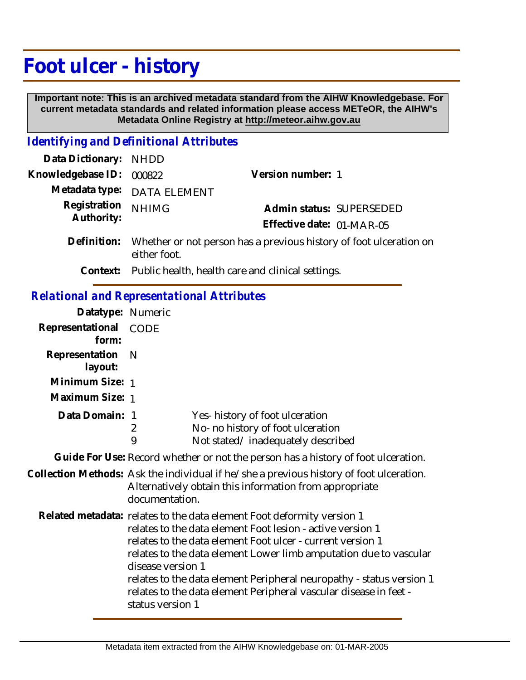## **Foot ulcer - history**

 **Important note: This is an archived metadata standard from the AIHW Knowledgebase. For current metadata standards and related information please access METeOR, the AIHW's Metadata Online Registry at http://meteor.aihw.gov.au**

## *Identifying and Definitional Attributes*

| Data Dictionary:                                  | <b>NHDD</b>                                                                                                                                                                                                                                                                                                                                                                                                                                                   |                                                                                                          |
|---------------------------------------------------|---------------------------------------------------------------------------------------------------------------------------------------------------------------------------------------------------------------------------------------------------------------------------------------------------------------------------------------------------------------------------------------------------------------------------------------------------------------|----------------------------------------------------------------------------------------------------------|
| Knowledgebase ID:                                 | 000822                                                                                                                                                                                                                                                                                                                                                                                                                                                        | Version number: 1                                                                                        |
| Metadata type:                                    | <b>DATA ELEMENT</b>                                                                                                                                                                                                                                                                                                                                                                                                                                           |                                                                                                          |
| Registration<br>Authority:                        | <b>NHIMG</b>                                                                                                                                                                                                                                                                                                                                                                                                                                                  | Admin status: SUPERSEDED<br>Effective date: 01-MAR-05                                                    |
| Definition:                                       | Whether or not person has a previous history of foot ulceration on<br>either foot.                                                                                                                                                                                                                                                                                                                                                                            |                                                                                                          |
| Context:                                          |                                                                                                                                                                                                                                                                                                                                                                                                                                                               | Public health, health care and clinical settings.                                                        |
| <b>Relational and Representational Attributes</b> |                                                                                                                                                                                                                                                                                                                                                                                                                                                               |                                                                                                          |
| Datatype: Numeric                                 |                                                                                                                                                                                                                                                                                                                                                                                                                                                               |                                                                                                          |
| Representational<br>form:                         | CODE                                                                                                                                                                                                                                                                                                                                                                                                                                                          |                                                                                                          |
| Representation<br>layout:                         | N                                                                                                                                                                                                                                                                                                                                                                                                                                                             |                                                                                                          |
| Minimum Size: 1                                   |                                                                                                                                                                                                                                                                                                                                                                                                                                                               |                                                                                                          |
| Maximum Size: 1                                   |                                                                                                                                                                                                                                                                                                                                                                                                                                                               |                                                                                                          |
| Data Domain:                                      | $\overline{1}$<br>$\overline{2}$<br>9                                                                                                                                                                                                                                                                                                                                                                                                                         | Yes-history of foot ulceration<br>No- no history of foot ulceration<br>Not stated/inadequately described |
|                                                   |                                                                                                                                                                                                                                                                                                                                                                                                                                                               | Guide For Use: Record whether or not the person has a history of foot ulceration.                        |
|                                                   | Collection Methods: Ask the individual if he/she a previous history of foot ulceration.<br>Alternatively obtain this information from appropriate<br>documentation.                                                                                                                                                                                                                                                                                           |                                                                                                          |
|                                                   | Related metadata: relates to the data element Foot deformity version 1<br>relates to the data element Foot lesion - active version 1<br>relates to the data element Foot ulcer - current version 1<br>relates to the data element Lower limb amputation due to vascular<br>disease version 1<br>relates to the data element Peripheral neuropathy - status version 1<br>relates to the data element Peripheral vascular disease in feet -<br>status version 1 |                                                                                                          |